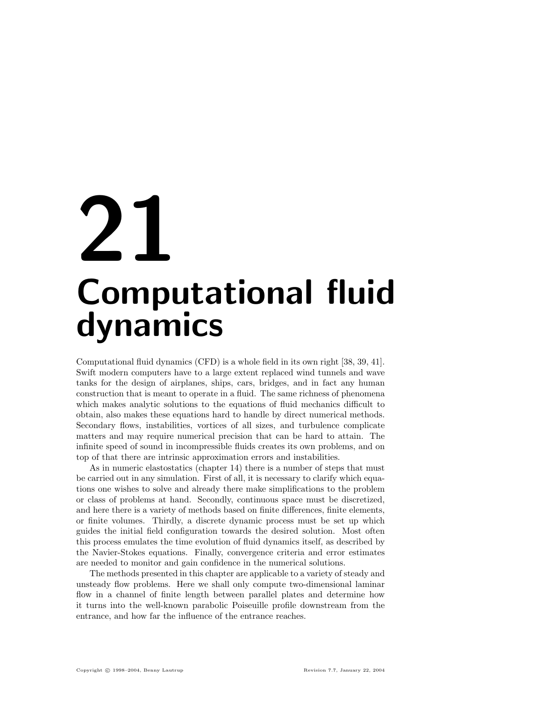# 21 Computational fluid dynamics

Computational fluid dynamics (CFD) is a whole field in its own right [38, 39, 41]. Swift modern computers have to a large extent replaced wind tunnels and wave tanks for the design of airplanes, ships, cars, bridges, and in fact any human construction that is meant to operate in a fluid. The same richness of phenomena which makes analytic solutions to the equations of fluid mechanics difficult to obtain, also makes these equations hard to handle by direct numerical methods. Secondary flows, instabilities, vortices of all sizes, and turbulence complicate matters and may require numerical precision that can be hard to attain. The infinite speed of sound in incompressible fluids creates its own problems, and on top of that there are intrinsic approximation errors and instabilities.

As in numeric elastostatics (chapter 14) there is a number of steps that must be carried out in any simulation. First of all, it is necessary to clarify which equations one wishes to solve and already there make simplifications to the problem or class of problems at hand. Secondly, continuous space must be discretized, and here there is a variety of methods based on finite differences, finite elements, or finite volumes. Thirdly, a discrete dynamic process must be set up which guides the initial field configuration towards the desired solution. Most often this process emulates the time evolution of fluid dynamics itself, as described by the Navier-Stokes equations. Finally, convergence criteria and error estimates are needed to monitor and gain confidence in the numerical solutions.

The methods presented in this chapter are applicable to a variety of steady and unsteady flow problems. Here we shall only compute two-dimensional laminar flow in a channel of finite length between parallel plates and determine how it turns into the well-known parabolic Poiseuille profile downstream from the entrance, and how far the influence of the entrance reaches.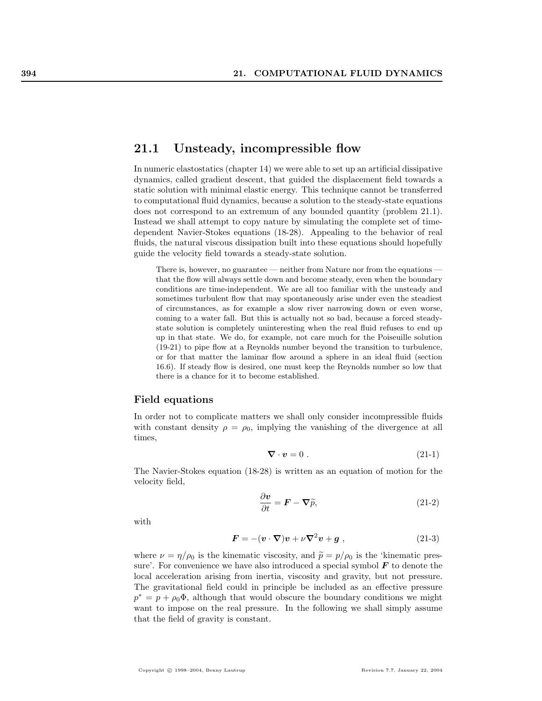# 21.1 Unsteady, incompressible flow

In numeric elastostatics (chapter 14) we were able to set up an artificial dissipative dynamics, called gradient descent, that guided the displacement field towards a static solution with minimal elastic energy. This technique cannot be transferred to computational fluid dynamics, because a solution to the steady-state equations does not correspond to an extremum of any bounded quantity (problem 21.1). Instead we shall attempt to copy nature by simulating the complete set of timedependent Navier-Stokes equations (18-28). Appealing to the behavior of real fluids, the natural viscous dissipation built into these equations should hopefully guide the velocity field towards a steady-state solution.

There is, however, no guarantee — neither from Nature nor from the equations that the flow will always settle down and become steady, even when the boundary conditions are time-independent. We are all too familiar with the unsteady and sometimes turbulent flow that may spontaneously arise under even the steadiest of circumstances, as for example a slow river narrowing down or even worse, coming to a water fall. But this is actually not so bad, because a forced steadystate solution is completely uninteresting when the real fluid refuses to end up up in that state. We do, for example, not care much for the Poiseuille solution (19-21) to pipe flow at a Reynolds number beyond the transition to turbulence, or for that matter the laminar flow around a sphere in an ideal fluid (section 16.6). If steady flow is desired, one must keep the Reynolds number so low that there is a chance for it to become established.

### Field equations

In order not to complicate matters we shall only consider incompressible fluids with constant density  $\rho = \rho_0$ , implying the vanishing of the divergence at all times,

$$
\nabla \cdot \mathbf{v} = 0 \tag{21-1}
$$

The Navier-Stokes equation (18-28) is written as an equation of motion for the velocity field,

$$
\frac{\partial v}{\partial t} = \mathbf{F} - \nabla \tilde{p},\tag{21-2}
$$

with

$$
\boldsymbol{F} = -(\boldsymbol{v} \cdot \boldsymbol{\nabla})\boldsymbol{v} + \nu \boldsymbol{\nabla}^2 \boldsymbol{v} + \boldsymbol{g} \ , \qquad (21-3)
$$

where  $\nu = \eta/\rho_0$  is the kinematic viscosity, and  $\tilde{p} = p/\rho_0$  is the 'kinematic pressure'. For convenience we have also introduced a special symbol  $\boldsymbol{F}$  to denote the local acceleration arising from inertia, viscosity and gravity, but not pressure. The gravitational field could in principle be included as an effective pressure  $p^* = p + \rho_0 \Phi$ , although that would obscure the boundary conditions we might want to impose on the real pressure. In the following we shall simply assume that the field of gravity is constant.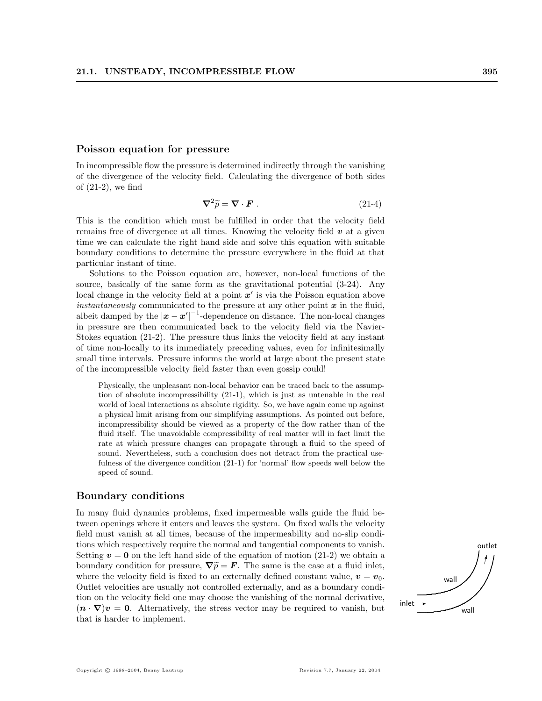### Poisson equation for pressure

In incompressible flow the pressure is determined indirectly through the vanishing of the divergence of the velocity field. Calculating the divergence of both sides of (21-2), we find

$$
\nabla^2 \widetilde{p} = \nabla \cdot \boldsymbol{F} \tag{21-4}
$$

This is the condition which must be fulfilled in order that the velocity field remains free of divergence at all times. Knowing the velocity field  $\boldsymbol{v}$  at a given time we can calculate the right hand side and solve this equation with suitable boundary conditions to determine the pressure everywhere in the fluid at that particular instant of time.

Solutions to the Poisson equation are, however, non-local functions of the source, basically of the same form as the gravitational potential (3-24). Any local change in the velocity field at a point  $x'$  is via the Poisson equation above instantaneously communicated to the pressure at any other point  $x$  in the fluid, albeit damped by the  $|x - x'|^{-1}$ -dependence on distance. The non-local changes in pressure are then communicated back to the velocity field via the Navier-Stokes equation (21-2). The pressure thus links the velocity field at any instant of time non-locally to its immediately preceding values, even for infinitesimally small time intervals. Pressure informs the world at large about the present state of the incompressible velocity field faster than even gossip could!

Physically, the unpleasant non-local behavior can be traced back to the assumption of absolute incompressibility (21-1), which is just as untenable in the real world of local interactions as absolute rigidity. So, we have again come up against a physical limit arising from our simplifying assumptions. As pointed out before, incompressibility should be viewed as a property of the flow rather than of the fluid itself. The unavoidable compressibility of real matter will in fact limit the rate at which pressure changes can propagate through a fluid to the speed of sound. Nevertheless, such a conclusion does not detract from the practical usefulness of the divergence condition (21-1) for 'normal' flow speeds well below the speed of sound.

### Boundary conditions

In many fluid dynamics problems, fixed impermeable walls guide the fluid between openings where it enters and leaves the system. On fixed walls the velocity field must vanish at all times, because of the impermeability and no-slip conditions which respectively require the normal and tangential components to vanish. Setting  $v = 0$  on the left hand side of the equation of motion (21-2) we obtain a boundary condition for pressure,  $\nabla \widetilde{p} = F$ . The same is the case at a fluid inlet, where the velocity field is fixed to an externally defined constant value,  $v = v_0$ . Outlet velocities are usually not controlled externally, and as a boundary condition on the velocity field one may choose the vanishing of the normal derivative,  $(n \cdot \nabla)v = 0$ . Alternatively, the stress vector may be required to vanish, but that is harder to implement.

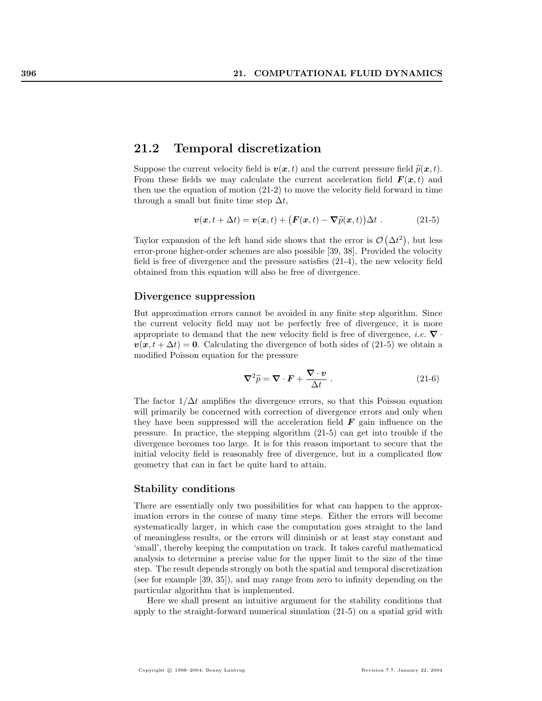# 21.2 Temporal discretization

Suppose the current velocity field is  $v(x, t)$  and the current pressure field  $\tilde{p}(x, t)$ . From these fields we may calculate the current acceleration field  $\mathbf{F}(\mathbf{x}, t)$  and then use the equation of motion (21-2) to move the velocity field forward in time through a small but finite time step  $\Delta t$ ,

$$
\boldsymbol{v}(\boldsymbol{x}, t + \Delta t) = \boldsymbol{v}(\boldsymbol{x}, t) + (\boldsymbol{F}(\boldsymbol{x}, t) - \boldsymbol{\nabla}\widetilde{p}(\boldsymbol{x}, t))\Delta t. \tag{21-5}
$$

Taylor expansion of the left hand side shows that the error is  $\mathcal O$ ¡  $\Delta t^2$ , but less error-prone higher-order schemes are also possible [39, 38]. Provided the velocity field is free of divergence and the pressure satisfies (21-4), the new velocity field obtained from this equation will also be free of divergence.

### Divergence suppression

But approximation errors cannot be avoided in any finite step algorithm. Since the current velocity field may not be perfectly free of divergence, it is more appropriate to demand that the new velocity field is free of divergence, *i.e.*  $\nabla \cdot$  $v(x, t + \Delta t) = 0$ . Calculating the divergence of both sides of (21-5) we obtain a modified Poisson equation for the pressure

$$
\nabla^2 \widetilde{p} = \nabla \cdot \boldsymbol{F} + \frac{\nabla \cdot \boldsymbol{v}}{\Delta t} \ . \tag{21-6}
$$

The factor  $1/\Delta t$  amplifies the divergence errors, so that this Poisson equation will primarily be concerned with correction of divergence errors and only when they have been suppressed will the acceleration field  $\boldsymbol{F}$  gain influence on the pressure. In practice, the stepping algorithm (21-5) can get into trouble if the divergence becomes too large. It is for this reason important to secure that the initial velocity field is reasonably free of divergence, but in a complicated flow geometry that can in fact be quite hard to attain.

### Stability conditions

There are essentially only two possibilities for what can happen to the approximation errors in the course of many time steps. Either the errors will become systematically larger, in which case the computation goes straight to the land of meaningless results, or the errors will diminish or at least stay constant and 'small', thereby keeping the computation on track. It takes careful mathematical analysis to determine a precise value for the upper limit to the size of the time step. The result depends strongly on both the spatial and temporal discretization (see for example [39, 35]), and may range from zero to infinity depending on the particular algorithm that is implemented.

Here we shall present an intuitive argument for the stability conditions that apply to the straight-forward numerical simulation (21-5) on a spatial grid with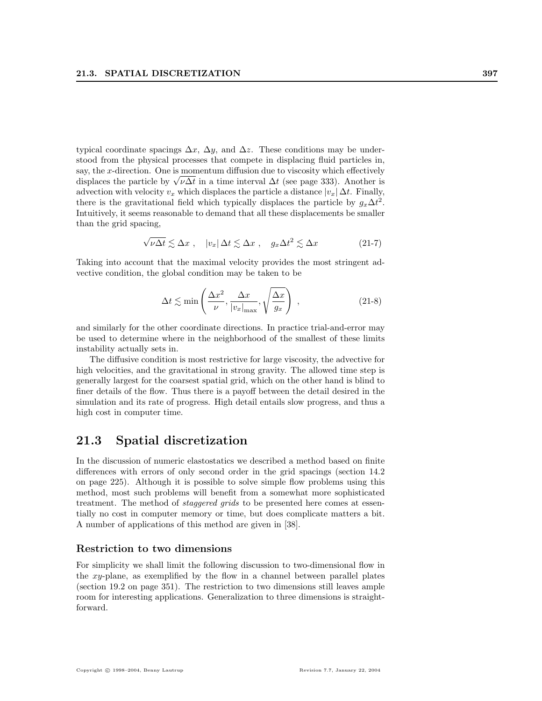typical coordinate spacings  $\Delta x$ ,  $\Delta y$ , and  $\Delta z$ . These conditions may be understood from the physical processes that compete in displacing fluid particles in, say, the  $x$ -direction. One is momentum diffusion due to viscosity which effectively say, the x-direction. One is momentum diffusion due to viscosity which effectively displaces the particle by  $\sqrt{\nu \Delta t}$  in a time interval  $\Delta t$  (see page 333). Another is advection with velocity  $v_x$  which displaces the particle a distance  $|v_x| \Delta t$ . Finally, there is the gravitational field which typically displaces the particle by  $g_x \Delta t^2$ . Intuitively, it seems reasonable to demand that all these displacements be smaller than the grid spacing,

$$
\sqrt{\nu \Delta t} \lesssim \Delta x \;, \quad |v_x| \, \Delta t \lesssim \Delta x \;, \quad g_x \Delta t^2 \lesssim \Delta x \tag{21-7}
$$

Taking into account that the maximal velocity provides the most stringent advective condition, the global condition may be taken to be

$$
\Delta t \lesssim \min\left(\frac{\Delta x^2}{\nu}, \frac{\Delta x}{|v_x|_{\max}}, \sqrt{\frac{\Delta x}{g_x}}\right) ,\qquad (21-8)
$$

and similarly for the other coordinate directions. In practice trial-and-error may be used to determine where in the neighborhood of the smallest of these limits instability actually sets in.

The diffusive condition is most restrictive for large viscosity, the advective for high velocities, and the gravitational in strong gravity. The allowed time step is generally largest for the coarsest spatial grid, which on the other hand is blind to finer details of the flow. Thus there is a payoff between the detail desired in the simulation and its rate of progress. High detail entails slow progress, and thus a high cost in computer time.

# 21.3 Spatial discretization

In the discussion of numeric elastostatics we described a method based on finite differences with errors of only second order in the grid spacings (section 14.2 on page 225). Although it is possible to solve simple flow problems using this method, most such problems will benefit from a somewhat more sophisticated treatment. The method of staggered grids to be presented here comes at essentially no cost in computer memory or time, but does complicate matters a bit. A number of applications of this method are given in [38].

### Restriction to two dimensions

For simplicity we shall limit the following discussion to two-dimensional flow in the  $xy$ -plane, as exemplified by the flow in a channel between parallel plates (section 19.2 on page 351). The restriction to two dimensions still leaves ample room for interesting applications. Generalization to three dimensions is straightforward.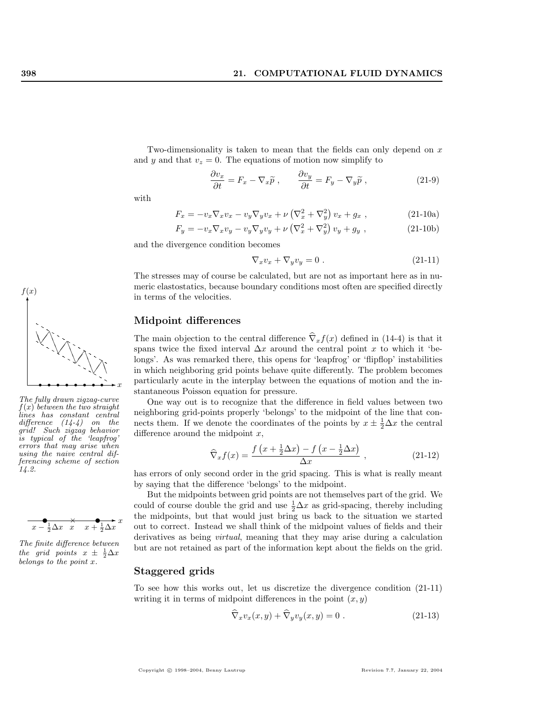Two-dimensionality is taken to mean that the fields can only depend on  $x$ and y and that  $v_z = 0$ . The equations of motion now simplify to

$$
\frac{\partial v_x}{\partial t} = F_x - \nabla_x \widetilde{p} , \qquad \frac{\partial v_y}{\partial t} = F_y - \nabla_y \widetilde{p} , \qquad (21-9)
$$

with

$$
F_x = -v_x \nabla_x v_x - v_y \nabla_y v_x + \nu \left( \nabla_x^2 + \nabla_y^2 \right) v_x + g_x ,
$$
\n(21-10a)

$$
F_y = -v_x \nabla_x v_y - v_y \nabla_y v_y + \nu \left( \nabla_x^2 + \nabla_y^2 \right) v_y + g_y , \qquad (21-10b)
$$

and the divergence condition becomes

$$
\nabla_x v_x + \nabla_y v_y = 0 \tag{21-11}
$$

The stresses may of course be calculated, but are not as important here as in numeric elastostatics, because boundary conditions most often are specified directly in terms of the velocities.

### Midpoint differences

The main objection to the central difference  $\hat{\nabla}_x f(x)$  defined in (14-4) is that it spans twice the fixed interval  $\Delta x$  around the central point x to which it 'belongs'. As was remarked there, this opens for 'leapfrog' or 'flipflop' instabilities in which neighboring grid points behave quite differently. The problem becomes particularly acute in the interplay between the equations of motion and the instantaneous Poisson equation for pressure.

One way out is to recognize that the difference in field values between two neighboring grid-points properly 'belongs' to the midpoint of the line that connects them. If we denote the coordinates of the points by  $x \pm \frac{1}{2}\Delta x$  the central difference around the midpoint  $x$ ,

$$
\widehat{\nabla}_x f(x) = \frac{f\left(x + \frac{1}{2}\Delta x\right) - f\left(x - \frac{1}{2}\Delta x\right)}{\Delta x},
$$
\n(21-12)

has errors of only second order in the grid spacing. This is what is really meant by saying that the difference 'belongs' to the midpoint.

But the midpoints between grid points are not themselves part of the grid. We could of course double the grid and use  $\frac{1}{2}\Delta x$  as grid-spacing, thereby including the midpoints, but that would just bring us back to the situation we started out to correct. Instead we shall think of the midpoint values of fields and their derivatives as being virtual, meaning that they may arise during a calculation but are not retained as part of the information kept about the fields on the grid.

### Staggered grids

To see how this works out, let us discretize the divergence condition (21-11) writing it in terms of midpoint differences in the point  $(x, y)$ 

$$
\widehat{\nabla}_x v_x(x, y) + \widehat{\nabla}_y v_y(x, y) = 0.
$$
\n(21-13)



 $f(x)$  between the two straight lines has constant central difference  $(14-4)$  on the grid! Such zigzag behavior is typical of the 'leapfrog' errors that may arise when using the naive central differencing scheme of section 14.2.



The finite difference between the grid points  $x \pm \frac{1}{2}\Delta x$ belongs to the point x.

 $f(x)$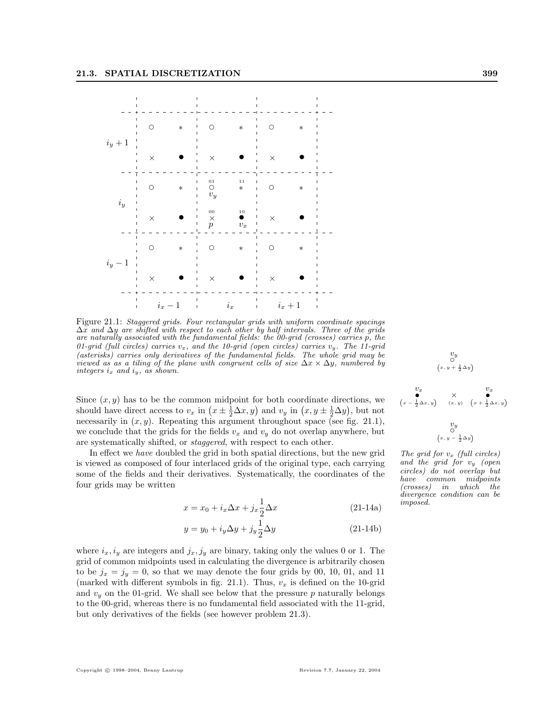

Figure 21.1: Staggered grids. Four rectangular grids with uniform coordinate spacings  $\Delta x$  and  $\Delta y$  are shifted with respect to each other by half intervals. Three of the grids are naturally associated with the fundamental fields: the 00-grid (crosses) carries p, the 01-grid (full circles) carries  $v_x$ , and the 10-grid (open circles) carries  $v_y$ . The 11-grid (asterisks) carries only derivatives of the fundamental fields. The whole grid may be viewed as as a tiling of the plane with congruent cells of size  $\Delta x \times \Delta y$ , numbered by integers  $i_x$  and  $i_y$ , as shown.

Since  $(x, y)$  has to be the common midpoint for both coordinate directions, we since  $(x, y)$  has to be the common midpoint for both coordinate directions, we should have direct access to  $v_x$  in  $(x \pm \frac{1}{2}\Delta x, y)$  and  $v_y$  in  $(x, y \pm \frac{1}{2}\Delta y)$ , but not necessarily in  $(x, y)$ . Repeating this argument throughout space (see fig. 21.1), we conclude that the grids for the fields  $v_x$  and  $v_y$  do not overlap anywhere, but are systematically shifted, or staggered, with respect to each other.

In effect we have doubled the grid in both spatial directions, but the new grid is viewed as composed of four interlaced grids of the original type, each carrying some of the fields and their derivatives. Systematically, the coordinates of the four grids may be written

$$
x = x_0 + i_x \Delta x + j_x \frac{1}{2} \Delta x \tag{21-14a}
$$

$$
y = y_0 + i_y \Delta y + j_y \frac{1}{2} \Delta y \qquad (21-14b)
$$

where  $i_x, i_y$  are integers and  $j_x, j_y$  are binary, taking only the values 0 or 1. The grid of common midpoints used in calculating the divergence is arbitrarily chosen to be  $j_x = j_y = 0$ , so that we may denote the four grids by 00, 10, 01, and 11 (marked with different symbols in fig. 21.1). Thus,  $v_x$  is defined on the 10-grid and  $v_y$  on the 01-grid. We shall see below that the pressure p naturally belongs to the 00-grid, whereas there is no fundamental field associated with the 11-grid, but only derivatives of the fields (see however problem 21.3).

$$
\begin{array}{ccc}\n v_x & & v_x \\
 \bullet & & \searrow & \bullet \\
 (x - \frac{1}{2}\Delta x, y) & (x, y) & \left(x + \frac{1}{2}\Delta x, y\right)\n \end{array}
$$

 $v_y$ 

 $x, y + \frac{1}{2}\Delta y$ 

 $\sqrt{2}$ 

$$
v_y
$$
  
 
$$
\bigg(x, y - \frac{1}{2}\Delta y\bigg)
$$

The grid for  $v_x$  (full circles) and the grid for  $v_y$  (open circles) do not overlap but have common midpoints (crosses) in which the divergence condition can be imposed.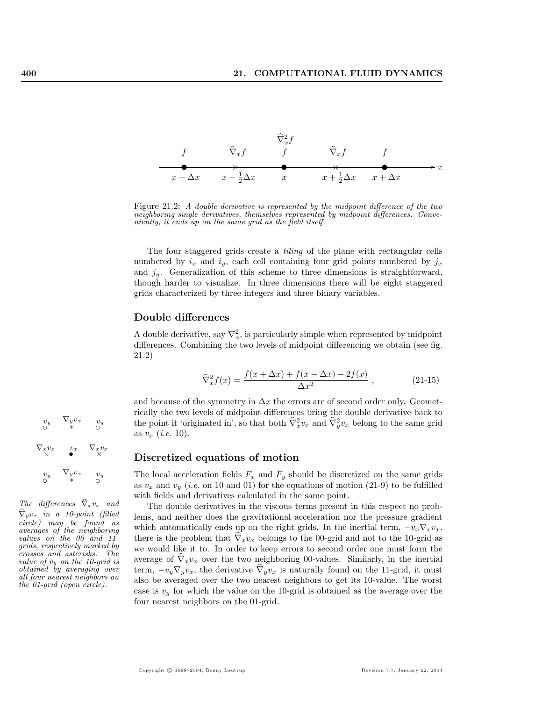

Figure 21.2: A double derivative is represented by the midpoint difference of the two neighboring single derivatives, themselves represented by midpoint differences. Conveniently, it ends up on the same grid as the field itself.

The four staggered grids create a tiling of the plane with rectangular cells numbered by  $i_x$  and  $i_y$ , each cell containing four grid points numbered by  $j_x$ and  $j_y$ . Generalization of this scheme to three dimensions is straightforward, though harder to visualize. In three dimensions there will be eight staggered grids characterized by three integers and three binary variables.

### Double differences

A double derivative, say  $\nabla_x^2$ , is particularly simple when represented by midpoint differences. Combining the two levels of midpoint differencing we obtain (see fig. 21.2)

$$
\widehat{\nabla}_x^2 f(x) = \frac{f(x + \Delta x) + f(x - \Delta x) - 2f(x)}{\Delta x^2},
$$
\n(21-15)

and because of the symmetry in  $\Delta x$  the errors are of second order only. Geometrically the two levels of midpoint differences bring the double derivative back to the point it 'originated in', so that both  $\hat{\nabla}_x^2 v_x$  and  $\hat{\nabla}_y^2 v_x$  belong to the same grid as  $v_x$  (*i.e.* 10).

### Discretized equations of motion

The local acceleration fields  $F_x$  and  $F_y$  should be discretized on the same grids as  $v_x$  and  $v_y$  (*i.e.* on 10 and 01) for the equations of motion (21-9) to be fulfilled with fields and derivatives calculated in the same point.

The double derivatives in the viscous terms present in this respect no problems, and neither does the gravitational acceleration nor the pressure gradient which automatically ends up on the right grids. In the inertial term,  $-v_x \nabla_x v_x$ , there is the problem that  $\nabla_x v_x$  belongs to the 00-grid and not to the 10-grid as we would like it to. In order to keep errors to second order one must form the average of  $\hat{\nabla}_x v_x$  over the two neighboring 00-values. Similarly, in the inertial term,  $-v_y\nabla_yv_x$ , the derivative  $\nabla_yv_x$  is naturally found on the 11-grid, it must also be averaged over the two nearest neighbors to get its 10-value. The worst case is  $v_y$  for which the value on the 10-grid is obtained as the average over the four nearest neighbors on the 01-grid.

$$
\begin{array}{ccc}\nv_y & \nabla_y v_x & v_y \\
\circ & * & \circ \\
\nabla_x v_x & v_x & \nabla_x v_x \\
\vee & * & \times \\
v_y & \nabla_y v_x & v_y \\
\circ & * & \circ\n\end{array}
$$

The differences  $\hat{\nabla}_x v_x$  and  $\nabla_y v_x$  in a 10-point (filled circle) may be found as averages of the neighboring values on the 00 and 11 grids, respectively marked by crosses and asterisks. The value of  $v_y$  on the 10-grid is obtained by averaging over all four nearest neighbors on the 01-grid (open circle).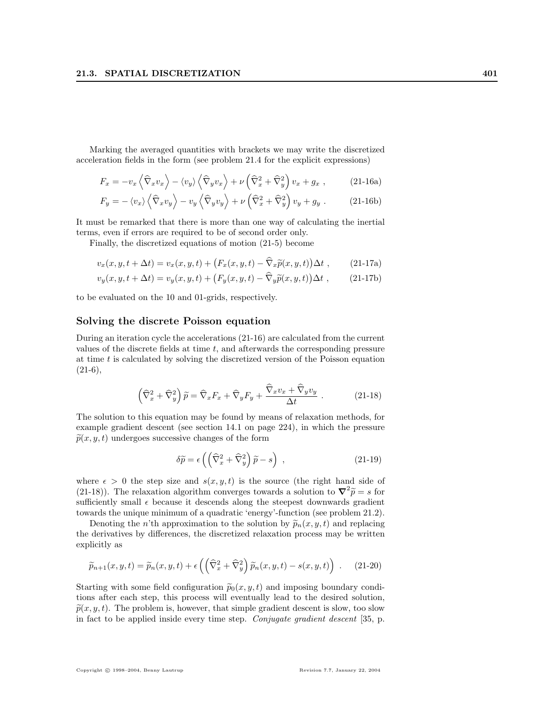Marking the averaged quantities with brackets we may write the discretized acceleration fields in the form (see problem 21.4 for the explicit expressions)

$$
F_x = -v_x \left\langle \widehat{\nabla}_x v_x \right\rangle - \left\langle v_y \right\rangle \left\langle \widehat{\nabla}_y v_x \right\rangle + \nu \left( \widehat{\nabla}_x^2 + \widehat{\nabla}_y^2 \right) v_x + g_x , \qquad (21-16a)
$$

$$
F_y = -\langle v_x \rangle \langle \hat{\nabla}_x v_y \rangle - v_y \langle \hat{\nabla}_y v_y \rangle + \nu \left( \hat{\nabla}_x^2 + \hat{\nabla}_y^2 \right) v_y + g_y . \tag{21-16b}
$$

It must be remarked that there is more than one way of calculating the inertial terms, even if errors are required to be of second order only.

Finally, the discretized equations of motion (21-5) become

$$
v_x(x, y, t + \Delta t) = v_x(x, y, t) + (F_x(x, y, t) - \widehat{\nabla}_x \widetilde{p}(x, y, t)) \Delta t,
$$
 (21-17a)

$$
v_y(x, y, t + \Delta t) = v_y(x, y, t) + (F_y(x, y, t) - \widehat{\nabla}_y \widetilde{p}(x, y, t)) \Delta t,
$$
 (21-17b)

to be evaluated on the 10 and 01-grids, respectively.

### Solving the discrete Poisson equation

During an iteration cycle the accelerations (21-16) are calculated from the current values of the discrete fields at time  $t$ , and afterwards the corresponding pressure at time  $t$  is calculated by solving the discretized version of the Poisson equation  $(21-6),$ 

$$
\left(\widehat{\nabla}_x^2 + \widehat{\nabla}_y^2\right)\widetilde{p} = \widehat{\nabla}_x F_x + \widehat{\nabla}_y F_y + \frac{\widehat{\nabla}_x v_x + \widehat{\nabla}_y v_y}{\Delta t} \ . \tag{21-18}
$$

The solution to this equation may be found by means of relaxation methods, for example gradient descent (see section 14.1 on page 224), in which the pressure  $\tilde{p}(x, y, t)$  undergoes successive changes of the form

$$
\delta \widetilde{p} = \epsilon \left( \left( \widehat{\nabla}_x^2 + \widehat{\nabla}_y^2 \right) \widetilde{p} - s \right) , \qquad (21-19)
$$

where  $\epsilon > 0$  the step size and  $s(x, y, t)$  is the source (the right hand side of (21-18)). The relaxation algorithm converges towards a solution to  $\nabla^2 \tilde{p} = s$  for sufficiently small  $\epsilon$  because it descends along the steepest downwards gradient towards the unique minimum of a quadratic 'energy'-function (see problem 21.2).

Denoting the *n*'th approximation to the solution by  $\widetilde{p}_n(x, y, t)$  and replacing the derivatives by differences, the discretized relaxation process may be written explicitly as

$$
\widetilde{p}_{n+1}(x,y,t) = \widetilde{p}_n(x,y,t) + \epsilon \left( \left( \widehat{\nabla}_x^2 + \widehat{\nabla}_y^2 \right) \widetilde{p}_n(x,y,t) - s(x,y,t) \right) \ . \tag{21-20}
$$

Starting with some field configuration  $\widetilde{p}_0(x, y, t)$  and imposing boundary conditions after each step, this process will eventually lead to the desired solution,  $\tilde{p}(x, y, t)$ . The problem is, however, that simple gradient descent is slow, too slow in fact to be applied inside every time step. Conjugate gradient descent [35, p.

Copyright © 1998–2004, Benny Lautrup Revision 7.7, January 22, 2004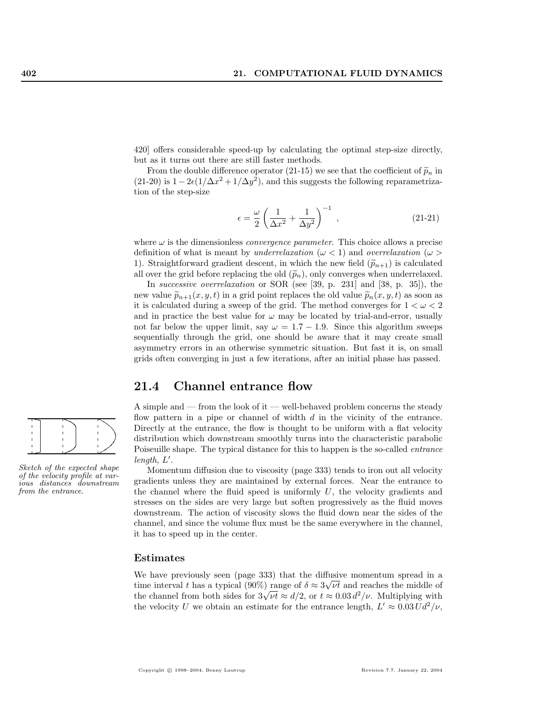420] offers considerable speed-up by calculating the optimal step-size directly, but as it turns out there are still faster methods.

From the double difference operator (21-15) we see that the coefficient of  $\widetilde{p}_n$  in  $(21-20)$  is  $1-2\epsilon(1/\Delta x^2+1/\Delta y^2)$ , and this suggests the following reparametrization of the step-size

$$
\epsilon = \frac{\omega}{2} \left( \frac{1}{\Delta x^2} + \frac{1}{\Delta y^2} \right)^{-1} , \qquad (21-21)
$$

where  $\omega$  is the dimensionless *convergence parameter*. This choice allows a precise definition of what is meant by *underrelaxation* ( $\omega$  < 1) and *overrelaxation* ( $\omega$ ) 1). Straightforward gradient descent, in which the new field  $(\widetilde{p}_{n+1})$  is calculated all over the grid before replacing the old  $(\widetilde{p}_n)$ , only converges when underrelaxed.

In successive overrelaxation or SOR (see [39, p. 231] and [38, p. 35]), the new value  $\widetilde{p}_{n+1}(x, y, t)$  in a grid point replaces the old value  $\widetilde{p}_n(x, y, t)$  as soon as it is calculated during a sweep of the grid. The method converges for  $1 < \omega < 2$ and in practice the best value for  $\omega$  may be located by trial-and-error, usually not far below the upper limit, say  $\omega = 1.7 - 1.9$ . Since this algorithm sweeps sequentially through the grid, one should be aware that it may create small asymmetry errors in an otherwise symmetric situation. But fast it is, on small grids often converging in just a few iterations, after an initial phase has passed.

# 21.4 Channel entrance flow

A simple and — from the look of it — well-behaved problem concerns the steady flow pattern in a pipe or channel of width  $d$  in the vicinity of the entrance. Directly at the entrance, the flow is thought to be uniform with a flat velocity distribution which downstream smoothly turns into the characteristic parabolic Poiseuille shape. The typical distance for this to happen is the so-called *entrance*  $length, L'.$ 

Momentum diffusion due to viscosity (page 333) tends to iron out all velocity gradients unless they are maintained by external forces. Near the entrance to the channel where the fluid speed is uniformly  $U$ , the velocity gradients and stresses on the sides are very large but soften progressively as the fluid moves downstream. The action of viscosity slows the fluid down near the sides of the channel, and since the volume flux must be the same everywhere in the channel, it has to speed up in the center.

### Estimates

We have previously seen (page 333) that the diffusive momentum spread in a time interval t has a typical (90%) range of  $\delta \approx 3\sqrt{\nu t}$  and reaches the middle of time interval t has a typical (90%) range of  $\delta \approx 3\sqrt{\nu t}$  and reaches the middle of the channel from both sides for  $3\sqrt{\nu t} \approx d/2$ , or  $t \approx 0.03 d^2/\nu$ . Multiplying with the velocity U we obtain an estimate for the entrance length,  $L' \approx 0.03 U d^2/\nu$ ,



Sketch of the expected shape of the velocity profile at various distances downstream from the entrance.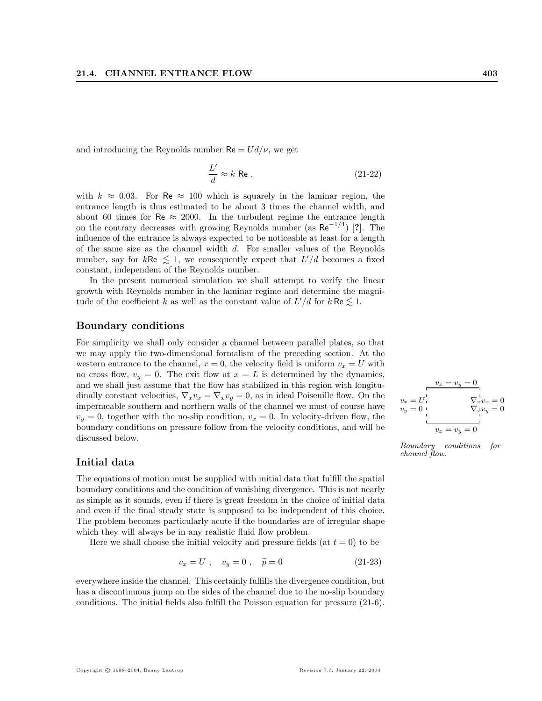and introducing the Reynolds number  $\text{Re} = U d/\nu$ , we get

$$
\frac{L'}{d} \approx k \text{ Re }, \qquad (21-22)
$$

with  $k \approx 0.03$ . For Re  $\approx 100$  which is squarely in the laminar region, the entrance length is thus estimated to be about 3 times the channel width, and about 60 times for Re  $\approx 2000$ . In the turbulent regime the entrance length on the contrary decreases with growing Reynolds number (as  $\text{Re}^{-1/4}$ ) [?]. The influence of the entrance is always expected to be noticeable at least for a length of the same size as the channel width  $d$ . For smaller values of the Reynolds number, say for kRe  $\leq 1$ , we consequently expect that  $L'/d$  becomes a fixed constant, independent of the Reynolds number.

In the present numerical simulation we shall attempt to verify the linear growth with Reynolds number in the laminar regime and determine the magnitude of the coefficient k as well as the constant value of  $L'/d$  for  $k \text{ Re } \leq 1$ .

### Boundary conditions

For simplicity we shall only consider a channel between parallel plates, so that we may apply the two-dimensional formalism of the preceding section. At the western entrance to the channel,  $x = 0$ , the velocity field is uniform  $v_x = U$  with no cross flow,  $v_y = 0$ . The exit flow at  $x = L$  is determined by the dynamics, and we shall just assume that the flow has stabilized in this region with longitudinally constant velocities,  $\nabla_x v_x = \nabla_x v_y = 0$ , as in ideal Poiseuille flow. On the impermeable southern and northern walls of the channel we must of course have  $v_y = 0$ , together with the no-slip condition,  $v_x = 0$ . In velocity-driven flow, the boundary conditions on pressure follow from the velocity conditions, and will be discussed below.

### Initial data

The equations of motion must be supplied with initial data that fulfill the spatial boundary conditions and the condition of vanishing divergence. This is not nearly as simple as it sounds, even if there is great freedom in the choice of initial data and even if the final steady state is supposed to be independent of this choice. The problem becomes particularly acute if the boundaries are of irregular shape which they will always be in any realistic fluid flow problem.

Here we shall choose the initial velocity and pressure fields (at  $t = 0$ ) to be

$$
v_x = U , \quad v_y = 0 , \quad \tilde{p} = 0
$$
\n
$$
(21-23)
$$

everywhere inside the channel. This certainly fulfills the divergence condition, but has a discontinuous jump on the sides of the channel due to the no-slip boundary conditions. The initial fields also fulfill the Poisson equation for pressure (21-6).

$$
v_x = v_y = 0
$$
  

$$
v_x = U_1'
$$
  

$$
v_y = 0
$$
  

$$
v_x = v_y = 0
$$
  

$$
v_x = v_y = 0
$$

Boundary conditions for channel flow.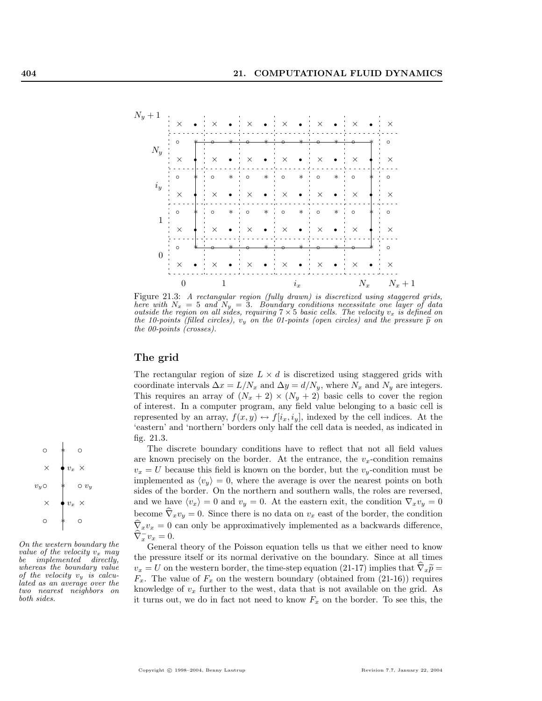

Figure 21.3: A rectangular region (fully drawn) is discretized using staggered grids, here with  $N_x = 5$  and  $N_y = 3$ . Boundary conditions necessitate one layer of data outside the region on all sides, requiring  $7 \times 5$  basic cells. The velocity  $v_x$  is defined on the 10-points (filled circles),  $v_y$  on the 01-points (open circles) and the pressure  $\tilde{p}$  on the 00-points (crosses).

### The grid

The rectangular region of size  $L \times d$  is discretized using staggered grids with coordinate intervals  $\Delta x = L/N_x$  and  $\Delta y = d/N_y$ , where  $N_x$  and  $N_y$  are integers. This requires an array of  $(N_x + 2) \times (N_y + 2)$  basic cells to cover the region of interest. In a computer program, any field value belonging to a basic cell is represented by an array,  $f(x, y) \leftrightarrow f[i_x, i_y]$ , indexed by the cell indices. At the 'eastern' and 'northern' borders only half the cell data is needed, as indicated in fig. 21.3.

The discrete boundary conditions have to reflect that not all field values are known precisely on the border. At the entrance, the  $v_x$ -condition remains  $v_x = U$  because this field is known on the border, but the  $v_y$ -condition must be implemented as  $\langle v_y \rangle = 0$ , where the average is over the nearest points on both sides of the border. On the northern and southern walls, the roles are reversed, and we have  $\langle v_x \rangle = 0$  and  $v_y = 0$ . At the eastern exit, the condition  $\nabla_x v_y = 0$ become  $\nabla_x v_y = 0$ . Since there is no data on  $v_x$  east of the border, the condition  $\hat{\nabla}_x v_x = 0$  can only be approximatively implemented as a backwards difference,  $\widehat{\nabla}^-_x v_x = 0.$ 

General theory of the Poisson equation tells us that we either need to know the pressure itself or its normal derivative on the boundary. Since at all times  $v_x = U$  on the western border, the time-step equation (21-17) implies that  $\nabla_x \tilde{p} =$  $F_x$ . The value of  $F_x$  on the western boundary (obtained from (21-16)) requires knowledge of  $v_x$  further to the west, data that is not available on the grid. As it turns out, we do in fact not need to know  $F_x$  on the border. To see this, the



On the western boundary the value of the velocity  $v_x$  may<br>be implemented directly,  $be$  implemented whereas the boundary value of the velocity  $v_y$  is calculated as an average over the two nearest neighbors on both sides.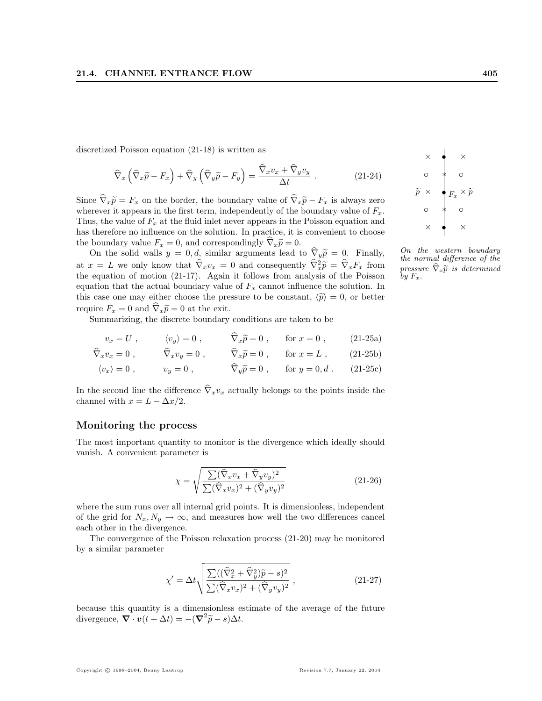discretized Poisson equation (21-18) is written as

$$
\widehat{\nabla}_x \left( \widehat{\nabla}_x \widetilde{p} - F_x \right) + \widehat{\nabla}_y \left( \widehat{\nabla}_y \widetilde{p} - F_y \right) = \frac{\widehat{\nabla}_x v_x + \widehat{\nabla}_y v_y}{\Delta t} . \tag{21-24}
$$

Since  $\hat{\nabla}_x \tilde{p} = F_x$  on the border, the boundary value of  $\hat{\nabla}_x \tilde{p} - F_x$  is always zero wherever it appears in the first term, independently of the boundary value of  $F_x$ . Thus, the value of  $F_x$  at the fluid inlet never appears in the Poisson equation and has therefore no influence on the solution. In practice, it is convenient to choose the boundary value  $F_x = 0$ , and correspondingly  $\nabla_x \widetilde{p} = 0$ .

On the solid walls  $y = 0, d$ , similar arguments lead to  $\nabla_y \tilde{p} = 0$ . Finally, at  $x = L$  we only know that  $\hat{\nabla}_x v_x = 0$  and consequently  $\hat{\nabla}_x^2 \tilde{p} = \hat{\nabla}_x F_x$  from the equation of motion (21-17). Again it follows from analysis of the Poisson equation that the actual boundary value of  $F_x$  cannot influence the solution. In this case one may either choose the pressure to be constant,  $\langle \tilde{p} \rangle = 0$ , or better require  $F_x = 0$  and  $\hat{\nabla}_x \tilde{p} = 0$  at the exit.

Summarizing, the discrete boundary conditions are taken to be

$$
v_x = U , \qquad \langle v_y \rangle = 0 , \qquad \widehat{\nabla}_x \widetilde{p} = 0 , \qquad \text{for } x = 0 , \qquad (21-25a)
$$

$$
\widehat{\nabla}_x v_x = 0 , \qquad \widehat{\nabla}_x v_y = 0 , \qquad \widehat{\nabla}_x \widetilde{p} = 0 , \qquad \text{for } x = L , \qquad (21-25b)
$$

$$
\langle v_x \rangle = 0 , \qquad v_y = 0 , \qquad \widehat{\nabla}_y \widetilde{p} = 0 , \qquad \text{for } y = 0, d . \qquad (21-25c)
$$

In the second line the difference  $\hat{\nabla}_x v_x$  actually belongs to the points inside the channel with  $x = L - \Delta x/2$ .

### Monitoring the process

The most important quantity to monitor is the divergence which ideally should vanish. A convenient parameter is

$$
\chi = \sqrt{\frac{\sum (\widehat{\nabla}_x v_x + \widehat{\nabla}_y v_y)^2}{\sum (\widehat{\nabla}_x v_x)^2 + (\widehat{\nabla}_y v_y)^2}}
$$
(21-26)

where the sum runs over all internal grid points. It is dimensionless, independent of the grid for  $N_x, N_y \to \infty$ , and measures how well the two differences cancel each other in the divergence.

The convergence of the Poisson relaxation process (21-20) may be monitored by a similar parameter

$$
\chi' = \Delta t \sqrt{\frac{\sum ((\widehat{\nabla}_x^2 + \widehat{\nabla}_y^2)\widetilde{p} - s)^2}{\sum (\widehat{\nabla}_x v_x)^2 + (\widehat{\nabla}_y v_y)^2}},
$$
\n(21-27)

because this quantity is a dimensionless estimate of the average of the future divergence,  $\nabla \cdot \mathbf{v}(t + \Delta t) = -(\nabla^2 \widetilde{p} - s)\Delta t$ .



s

 $\times$   $\bullet$   $F_{-}\times$ 

 $\widetilde{p} \times \quad \bullet_{F_x} \times \widetilde{p}$ 

∗

∗

s

×

❝

❝

×

❝

❝

 $by F_x$ .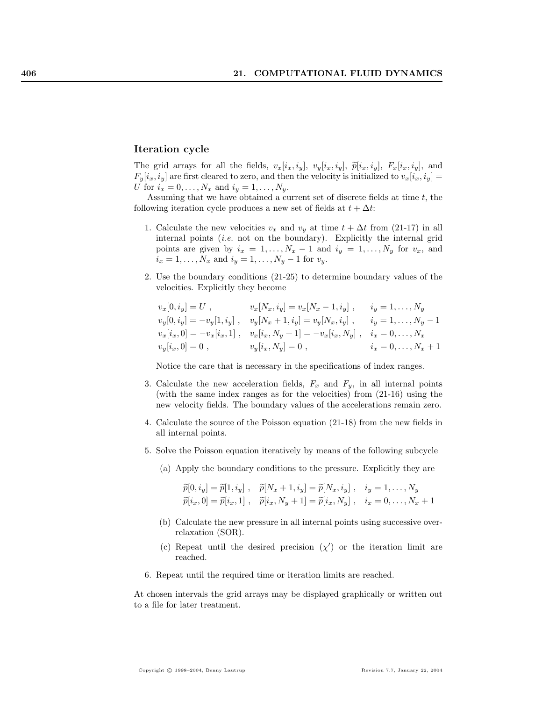### Iteration cycle

The grid arrays for all the fields,  $v_x[i_x, i_y]$ ,  $v_y[i_x, i_y]$ ,  $\tilde{p}[i_x, i_y]$ ,  $F_x[i_x, i_y]$ , and  $F_y[i_x, i_y]$  are first cleared to zero, and then the velocity is initialized to  $v_x[i_x, i_y] =$ U for  $i_x = 0, ..., N_x$  and  $i_y = 1, ..., N_y$ .

Assuming that we have obtained a current set of discrete fields at time  $t$ , the following iteration cycle produces a new set of fields at  $t + \Delta t$ :

- 1. Calculate the new velocities  $v_x$  and  $v_y$  at time  $t + \Delta t$  from (21-17) in all internal points  $(i.e.$  not on the boundary). Explicitly the internal grid points are given by  $i_x = 1, \ldots, N_x - 1$  and  $i_y = 1, \ldots, N_y$  for  $v_x$ , and  $i_x = 1, ..., N_x$  and  $i_y = 1, ..., N_y - 1$  for  $v_y$ .
- 2. Use the boundary conditions (21-25) to determine boundary values of the velocities. Explicitly they become

$$
v_x[0, i_y] = U , \t v_x[N_x, i_y] = v_x[N_x - 1, i_y] , \t i_y = 1, ..., N_y \n v_y[0, i_y] = -v_y[1, i_y] , \t v_y[N_x + 1, i_y] = v_y[N_x, i_y] , \t i_y = 1, ..., N_y - 1 \n v_x[i_x, 0] = -v_x[i_x, 1] , \t v_x[i_x, N_y + 1] = -v_x[i_x, N_y] , \t i_x = 0, ..., N_x \n v_y[i_x, 0] = 0 , \t v_y[i_x, N_y] = 0 , \t i_x = 0, ..., N_x + 1
$$

Notice the care that is necessary in the specifications of index ranges.

- 3. Calculate the new acceleration fields,  $F_x$  and  $F_y$ , in all internal points (with the same index ranges as for the velocities) from (21-16) using the new velocity fields. The boundary values of the accelerations remain zero.
- 4. Calculate the source of the Poisson equation (21-18) from the new fields in all internal points.
- 5. Solve the Poisson equation iteratively by means of the following subcycle
	- (a) Apply the boundary conditions to the pressure. Explicitly they are

$$
\widetilde{p}[0, i_y] = \widetilde{p}[1, i_y], \quad \widetilde{p}[N_x + 1, i_y] = \widetilde{p}[N_x, i_y], \quad i_y = 1, \dots, N_y
$$
  

$$
\widetilde{p}[i_x, 0] = \widetilde{p}[i_x, 1], \quad \widetilde{p}[i_x, N_y + 1] = \widetilde{p}[i_x, N_y], \quad i_x = 0, \dots, N_x + 1
$$

- (b) Calculate the new pressure in all internal points using successive overrelaxation (SOR).
- (c) Repeat until the desired precision  $(\chi')$  or the iteration limit are reached.
- 6. Repeat until the required time or iteration limits are reached.

At chosen intervals the grid arrays may be displayed graphically or written out to a file for later treatment.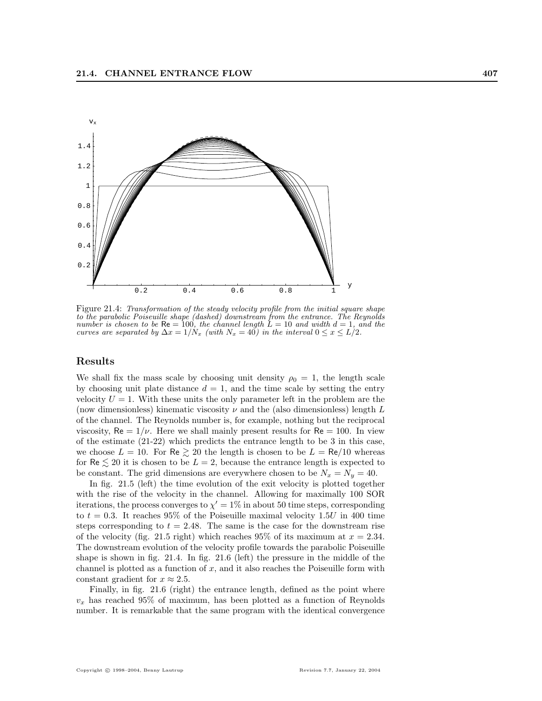

Figure 21.4: Transformation of the steady velocity profile from the initial square shape to the parabolic Poiseuille shape (dashed) downstream from the entrance. The Reynolds number is chosen to be  $\textsf{Re} = 100$ , the channel length  $\tilde{L} = 10$  and width  $d = 1$ , and the curves are separated by  $\Delta x = 1/N_x$  (with  $N_x = 40$ ) in the interval  $0 \le x \le L/2$ .

## Results

We shall fix the mass scale by choosing unit density  $\rho_0 = 1$ , the length scale by choosing unit plate distance  $d = 1$ , and the time scale by setting the entry velocity  $U = 1$ . With these units the only parameter left in the problem are the (now dimensionless) kinematic viscosity  $\nu$  and the (also dimensionless) length  $L$ of the channel. The Reynolds number is, for example, nothing but the reciprocal viscosity,  $Re = 1/\nu$ . Here we shall mainly present results for  $Re = 100$ . In view of the estimate  $(21-22)$  which predicts the entrance length to be 3 in this case, we choose  $L = 10$ . For  $\text{Re} \gtrsim 20$  the length is chosen to be  $L = \text{Re}/10$  whereas for  $\text{Re} \lesssim 20$  it is chosen to be  $L = 2$ , because the entrance length is expected to be constant. The grid dimensions are everywhere chosen to be  $N_x = N_y = 40$ .

In fig. 21.5 (left) the time evolution of the exit velocity is plotted together with the rise of the velocity in the channel. Allowing for maximally 100 SOR iterations, the process converges to  $\chi' = 1\%$  in about 50 time steps, corresponding to  $t = 0.3$ . It reaches 95% of the Poiseuille maximal velocity 1.5U in 400 time steps corresponding to  $t = 2.48$ . The same is the case for the downstream rise of the velocity (fig. 21.5 right) which reaches 95% of its maximum at  $x = 2.34$ . The downstream evolution of the velocity profile towards the parabolic Poiseuille shape is shown in fig. 21.4. In fig. 21.6 (left) the pressure in the middle of the channel is plotted as a function of  $x$ , and it also reaches the Poiseuille form with constant gradient for  $x \approx 2.5$ .

Finally, in fig. 21.6 (right) the entrance length, defined as the point where  $v<sub>x</sub>$  has reached 95% of maximum, has been plotted as a function of Reynolds number. It is remarkable that the same program with the identical convergence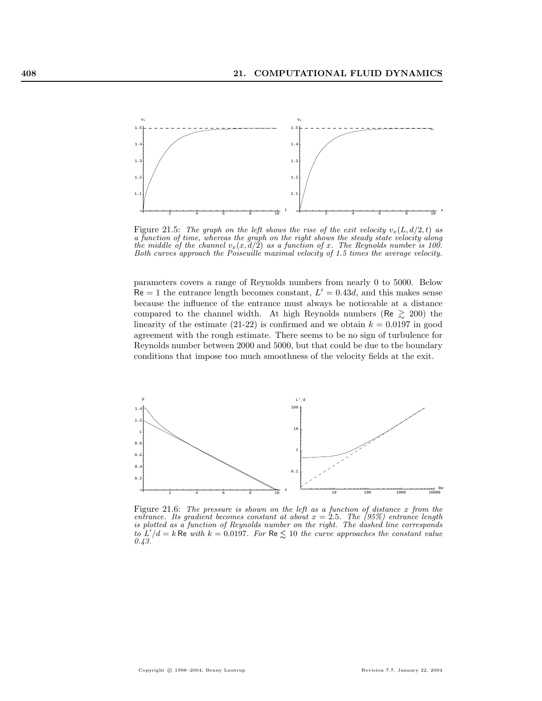

Figure 21.5: The graph on the left shows the rise of the exit velocity  $v_x(L, d/2, t)$  as a function of time, whereas the graph on the right shows the steady state velocity along the middle of the channel  $v_x(x, d/2)$  as a function of x. The Reynolds number is 100. Both curves approach the Poiseuille maximal velocity of 1.5 times the average velocity.

parameters covers a range of Reynolds numbers from nearly 0 to 5000. Below  $Re = 1$  the entrance length becomes constant,  $L' = 0.43d$ , and this makes sense because the influence of the entrance must always be noticeable at a distance compared to the channel width. At high Reynolds numbers (Re  $\geq$  200) the linearity of the estimate (21-22) is confirmed and we obtain  $k = 0.0197$  in good agreement with the rough estimate. There seems to be no sign of turbulence for Reynolds number between 2000 and 5000, but that could be due to the boundary conditions that impose too much smoothness of the velocity fields at the exit.



Figure 21.6: The pressure is shown on the left as a function of distance  $x$  from the entrance. Its gradient becomes constant at about  $x = 2.5$ . The (95%) entrance length is plotted as a function of Reynolds number on the right. The dashed line corresponds to  $L'/d = k$  Re with  $k = 0.0197$ . For Re  $\leq 10$  the curve approaches the constant value 0.43.